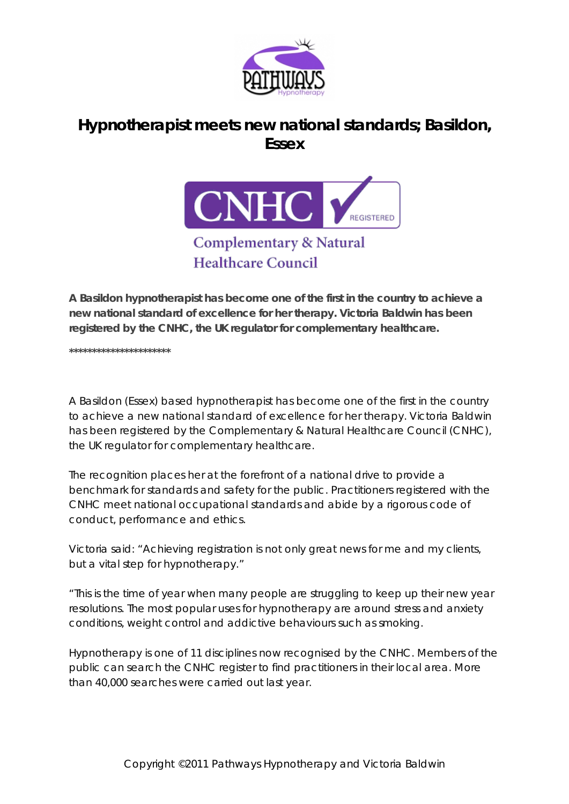

## **Hypnotherapist meets new national standards; Basildon, Essex**



**Healthcare Council** 

**A Basildon hypnotherapist has become one of the first in the country to achieve a new national standard of excellence for her therapy. Victoria Baldwin has been registered by the CNHC, the UK regulator for complementary healthcare.**

**\*\*\*\*\*\*\*\*\*\*\*\*\*\*\*\*\*\*\*\*\*\***

A Basildon (Essex) based hypnotherapist has become one of the first in the country to achieve a new national standard of excellence for her therapy. Victoria Baldwin has been registered by the Complementary & Natural Healthcare Council (CNHC), the UK regulator for complementary healthcare.

The recognition places her at the forefront of a national drive to provide a benchmark for standards and safety for the public. Practitioners registered with the CNHC meet national occupational standards and abide by a rigorous code of conduct, performance and ethics.

Victoria said: "Achieving registration is not only great news for me and my clients, but a vital step for hypnotherapy."

"This is the time of year when many people are struggling to keep up their new year resolutions. The most popular uses for hypnotherapy are around stress and anxiety conditions, weight control and addictive behaviours such as smoking.

Hypnotherapy is one of 11 disciplines now recognised by the CNHC. Members of the public can search the CNHC register to find practitioners in their local area. More than 40,000 searches were carried out last year.